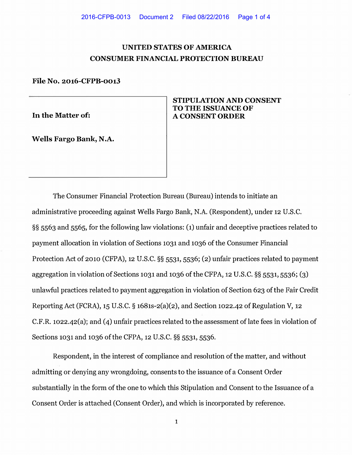# **UNITED STATES OF AMERICA CONSUMER FINANCIAL PROTECTION BUREAU**

### **File No. 2016-CFPB-0013**

**In the Matter of:** 

**Wells Fargo Bank, N.A.** 

# **STIPULATION AND CONSENT TO THE ISSUANCE OF A CONSENT ORDER**

The Consumer Financial Protection Bureau (Bureau) intends to initiate an administrative proceeding against Wells Fargo Bank, N.A. (Respondent), under 12 U.S.C. §§ 5563 and 5565, for the following law violations: (1) unfair and deceptive practices related to payment allocation in violation of Sections 1031 and 1036 of the Consumer Financial Protection Act of 2010 (CFPA), 12 U.S.C. §§ 5531, 5536; (2) unfair practices related to payment aggregation in violation of Sections 1031 and 1036 of the CFPA, 12 U.S.C. §§ 5531, 5536; (3) unlawful practices related to payment aggregation in violation of Section 623 of the Fair Credit Reporting Act (FCRA), 15 U.S.C. § 1681s-2(a)(2), and Section 1022,42 of Regulation V, 12 C.F.R. 1022.42(a); and (4) unfair practices related to the assessment of late fees in violation of Sections 1031 and 1036 of the CFPA, 12 U.S.C. §§ 5531, 5536.

Respondent, in the interest of compliance and resolution of the matter, and without admitting or denying any wrongdoing, consents to the issuance of a Consent Order substantially in the form of the one to which this Stipulation and Consent to the Issuance of a Consent Order is attached (Consent Order), and which is incorporated by reference.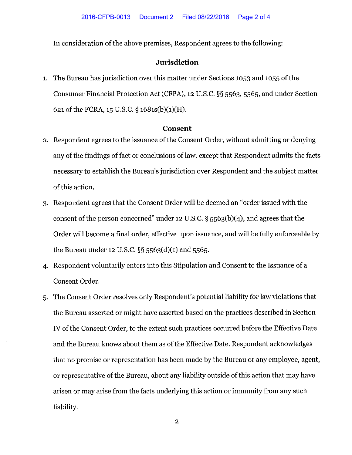In consideration of the above premises, Respondent agrees to the following:

# **Jurisdiction**

1. The Bureau has jurisdiction over this matter under Sections 1053 and 1055 of the Consumer Financial Protection Act (CFPA), 12 U.S.C. §§ 5563, 5565, and under Section 621 of the FCRA, 15 U.S.C. § 1681s(b)(1)(H).

#### **Consent**

- 2. Respondent agrees to the issuance of the Consent Order, without admitting or denying any of the findings of fact or conclusions of law, except that Respondent admits the facts necessary to establish the Bureau's jurisdiction over Respondent and the subject matter of this action.
- 3. Respondent agrees that the Consent Order will be deemed an "order issued with the consent of the person concerned" under 12 U.S.C. § 5563(b)(4), and agrees that the Order will become a final order, effective upon issuance, and will be fully enforceable by the Bureau under 12 U.S.C. §§ 5563(d)(1) and 5565.
- 4. Respondent voluntarily enters into this Stipulation and Consent to the Issuance of a Consent Order.
- 5. The Consent Order resolves only Respondent's potential liability for law violations that the Bureau asserted or might have asserted based on the practices described in Section IV of the Consent Order, to the extent such practices occurred before the Effective Date and the Bureau knows about them as of the Effective Date. Respondent acknowledges that no promise or representation has been made by the Bureau or any employee, agent, or representative of the Bureau, about any liability outside of this action that may have arisen or may arise from the facts underlying this action or immunity from any such liability.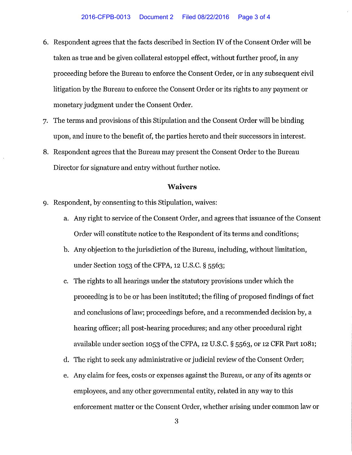- 6. Respondent agrees that the facts described in Section IV of the Consent Order will be taken as true and be given collateral estoppel effect, without further proof, in any proceeding before the Bureau to enforce the Consent Order, or in any subsequent civil litigation by the Bureau to enforce the Consent Order or its rights to any payment or monetary judgment under the Consent Order.
- 7. The terms and provisions of this Stipulation and the Consent Order will be binding upon, and inure to the benefit of, the parties hereto and their successors in interest.
- 8. Respondent agrees that the Bureau may present the Consent Order to the Bureau Director for signature and entry without further notice.

## **Waivers**

- 9. Respondent, by consenting to this Stipulation, waives:
	- a. Any right to service of the Consent Order, and agrees that issuance of the Consent Order will constitute notice to the Respondent of its terms and conditions;
	- b. Any objection to the jurisdiction of the Bureau, including, without limitation, under Section 1053 of the CFPA, 12 U.S.C. § 5563;
	- c. The rights to all hearings under the statutory provisions under which the proceeding is to be or has been instituted; the filing of proposed findings of fact and conclusions of law; proceedings before, and a recommended decision by, a hearing officer; all post-hearing procedures; and any other procedural right available under section 1053 of the CFPA, 12 U.S.C. § 5563, or 12 CFR Part 1081;
	- d. The right to seek any administrative or judicial review of the Consent Order;
	- e. Any claim for fees, costs or expenses against the Bureau, or any of its agents or employees, and any other governmental entity, related in any way to this enforcement matter or the Consent Order, whether arising under common law or